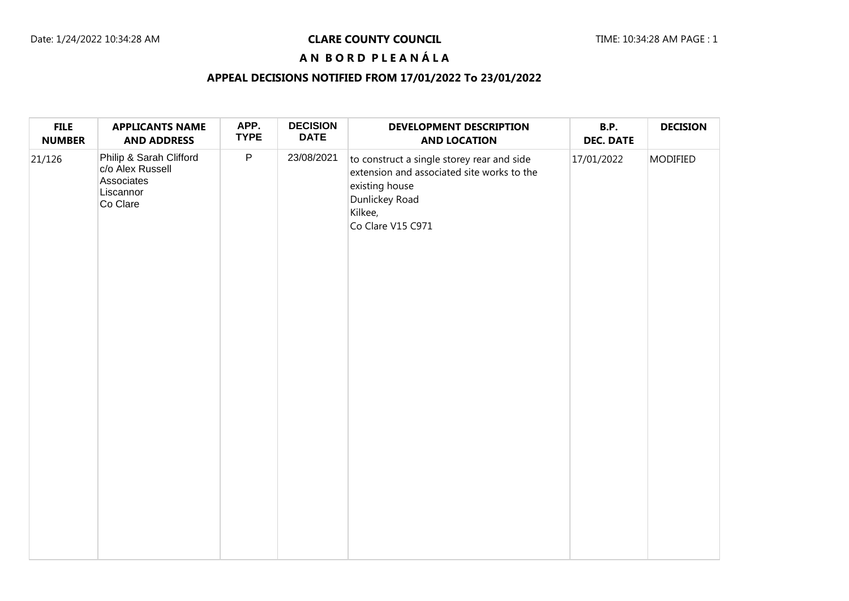### Date: 1/24/2022 10:34:28 AM **CLARE COUNTY COUNCIL** Date: 1/24/2022 10:34:28 AM PAGE : 1

# **A N B O R D P L E A N Á L A**

## **APPEAL DECISIONS NOTIFIED FROM 17/01/2022 To 23/01/2022**

| <b>FILE</b><br><b>NUMBER</b> | <b>APPLICANTS NAME</b><br><b>AND ADDRESS</b>                                       | APP.<br><b>TYPE</b> | <b>DECISION</b><br><b>DATE</b> | <b>DEVELOPMENT DESCRIPTION</b><br><b>AND LOCATION</b>                                                                                                        | <b>B.P.</b><br><b>DEC. DATE</b> | <b>DECISION</b> |
|------------------------------|------------------------------------------------------------------------------------|---------------------|--------------------------------|--------------------------------------------------------------------------------------------------------------------------------------------------------------|---------------------------------|-----------------|
| 21/126                       | Philip & Sarah Clifford<br>c/o Alex Russell<br>Associates<br>Liscannor<br>Co Clare | $\mathsf{P}$        | 23/08/2021                     | to construct a single storey rear and side<br>extension and associated site works to the<br>existing house<br>Dunlickey Road<br>Kilkee,<br>Co Clare V15 C971 | 17/01/2022                      | <b>MODIFIED</b> |
|                              |                                                                                    |                     |                                |                                                                                                                                                              |                                 |                 |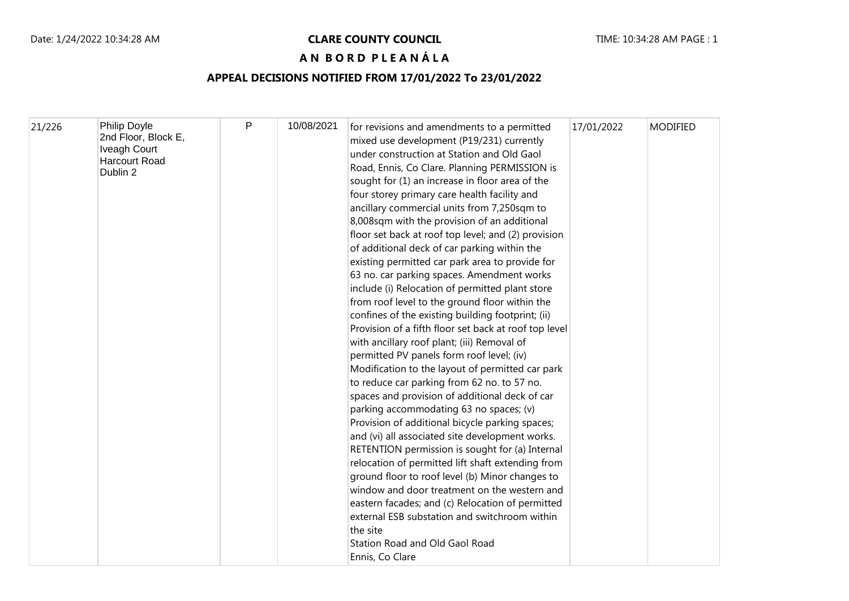### Date: 1/24/2022 10:34:28 AM **CLARE COUNTY COUNCIL** Date: 1/24/2022 10:34:28 AM PAGE : 1

## **A N B O R D P L E A N Á L A**

## **APPEAL DECISIONS NOTIFIED FROM 17/01/2022 To 23/01/2022**

| 21/226 | Philip Doyle                     | P | 10/08/2021 | for revisions and amendments to a permitted           | 17/01/2022 | <b>MODIFIED</b> |
|--------|----------------------------------|---|------------|-------------------------------------------------------|------------|-----------------|
|        | 2nd Floor, Block E,              |   |            | mixed use development (P19/231) currently             |            |                 |
|        | <b>Iveagh Court</b>              |   |            | under construction at Station and Old Gaol            |            |                 |
|        | <b>Harcourt Road</b><br>Dublin 2 |   |            | Road, Ennis, Co Clare. Planning PERMISSION is         |            |                 |
|        |                                  |   |            | sought for (1) an increase in floor area of the       |            |                 |
|        |                                  |   |            | four storey primary care health facility and          |            |                 |
|        |                                  |   |            | ancillary commercial units from 7,250sqm to           |            |                 |
|        |                                  |   |            | 8,008sqm with the provision of an additional          |            |                 |
|        |                                  |   |            | floor set back at roof top level; and (2) provision   |            |                 |
|        |                                  |   |            | of additional deck of car parking within the          |            |                 |
|        |                                  |   |            | existing permitted car park area to provide for       |            |                 |
|        |                                  |   |            | 63 no. car parking spaces. Amendment works            |            |                 |
|        |                                  |   |            | include (i) Relocation of permitted plant store       |            |                 |
|        |                                  |   |            | from roof level to the ground floor within the        |            |                 |
|        |                                  |   |            | confines of the existing building footprint; (ii)     |            |                 |
|        |                                  |   |            | Provision of a fifth floor set back at roof top level |            |                 |
|        |                                  |   |            | with ancillary roof plant; (iii) Removal of           |            |                 |
|        |                                  |   |            | permitted PV panels form roof level; (iv)             |            |                 |
|        |                                  |   |            | Modification to the layout of permitted car park      |            |                 |
|        |                                  |   |            | to reduce car parking from 62 no. to 57 no.           |            |                 |
|        |                                  |   |            | spaces and provision of additional deck of car        |            |                 |
|        |                                  |   |            | parking accommodating 63 no spaces; (v)               |            |                 |
|        |                                  |   |            | Provision of additional bicycle parking spaces;       |            |                 |
|        |                                  |   |            | and (vi) all associated site development works.       |            |                 |
|        |                                  |   |            | RETENTION permission is sought for (a) Internal       |            |                 |
|        |                                  |   |            | relocation of permitted lift shaft extending from     |            |                 |
|        |                                  |   |            | ground floor to roof level (b) Minor changes to       |            |                 |
|        |                                  |   |            | window and door treatment on the western and          |            |                 |
|        |                                  |   |            | eastern facades; and (c) Relocation of permitted      |            |                 |
|        |                                  |   |            | external ESB substation and switchroom within         |            |                 |
|        |                                  |   |            | the site                                              |            |                 |
|        |                                  |   |            | <b>Station Road and Old Gaol Road</b>                 |            |                 |
|        |                                  |   |            | Ennis, Co Clare                                       |            |                 |